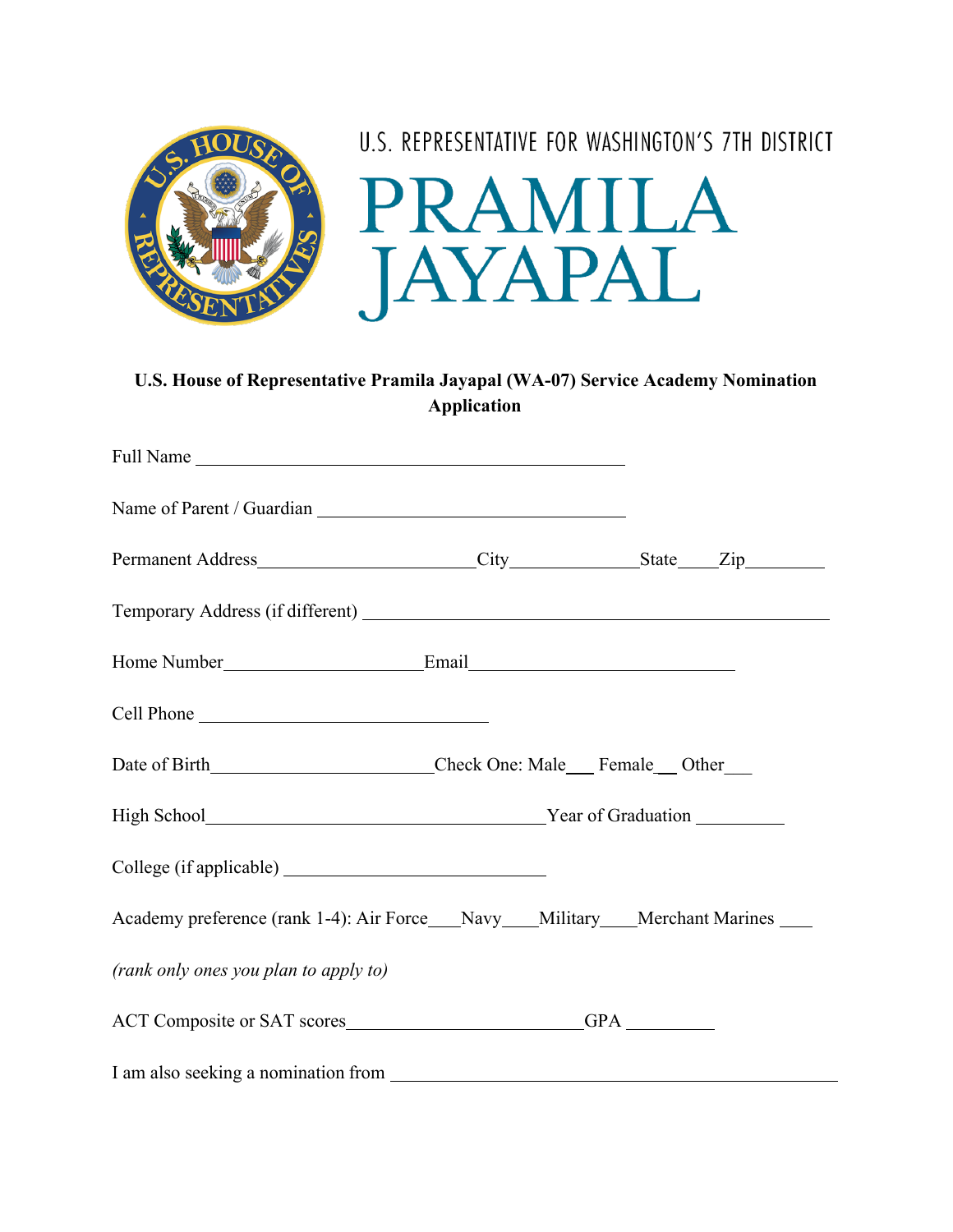

## **U.S. House of Representative Pramila Jayapal (WA-07) Service Academy Nomination Application**

| Cell Phone                                                                        |  |  |
|-----------------------------------------------------------------------------------|--|--|
| Date of Birth__________________________Check One: Male___Female__Other___         |  |  |
| High School News Year of Graduation                                               |  |  |
|                                                                                   |  |  |
| Academy preference (rank 1-4): Air Force___Navy___Military___Merchant Marines ___ |  |  |
| (rank only ones you plan to apply to)                                             |  |  |
|                                                                                   |  |  |
|                                                                                   |  |  |